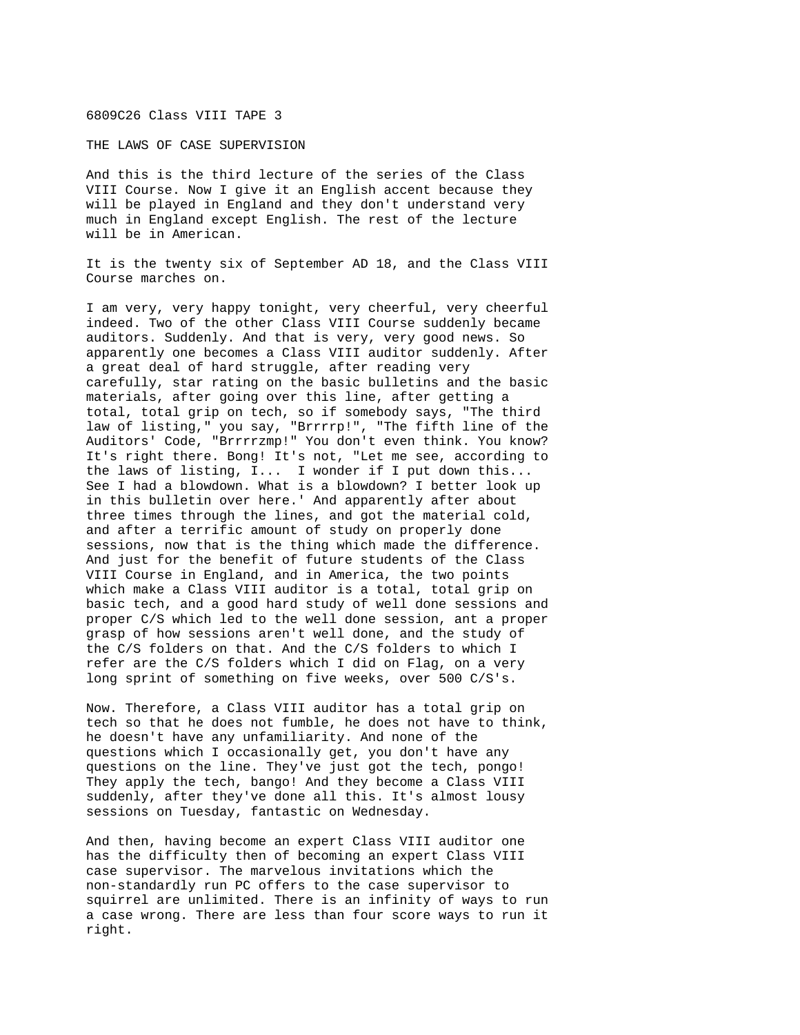## 6809C26 Class VIII TAPE 3

THE LAWS OF CASE SUPERVISION

And this is the third lecture of the series of the Class VIII Course. Now I give it an English accent because they will be played in England and they don't understand very much in England except English. The rest of the lecture will be in American.

It is the twenty six of September AD 18, and the Class VIII Course marches on.

I am very, very happy tonight, very cheerful, very cheerful indeed. Two of the other Class VIII Course suddenly became auditors. Suddenly. And that is very, very good news. So apparently one becomes a Class VIII auditor suddenly. After a great deal of hard struggle, after reading very carefully, star rating on the basic bulletins and the basic materials, after going over this line, after getting a total, total grip on tech, so if somebody says, "The third law of listing," you say, "Brrrrp!", "The fifth line of the Auditors' Code, "Brrrrzmp!" You don't even think. You know? It's right there. Bong! It's not, "Let me see, according to the laws of listing, I... I wonder if I put down this... See I had a blowdown. What is a blowdown? I better look up in this bulletin over here.' And apparently after about three times through the lines, and got the material cold, and after a terrific amount of study on properly done sessions, now that is the thing which made the difference. And just for the benefit of future students of the Class VIII Course in England, and in America, the two points which make a Class VIII auditor is a total, total grip on basic tech, and a good hard study of well done sessions and proper C/S which led to the well done session, ant a proper grasp of how sessions aren't well done, and the study of the C/S folders on that. And the C/S folders to which I refer are the C/S folders which I did on Flag, on a very long sprint of something on five weeks, over 500 C/S's.

Now. Therefore, a Class VIII auditor has a total grip on tech so that he does not fumble, he does not have to think, he doesn't have any unfamiliarity. And none of the questions which I occasionally get, you don't have any questions on the line. They've just got the tech, pongo! They apply the tech, bango! And they become a Class VIII suddenly, after they've done all this. It's almost lousy sessions on Tuesday, fantastic on Wednesday.

And then, having become an expert Class VIII auditor one has the difficulty then of becoming an expert Class VIII case supervisor. The marvelous invitations which the non-standardly run PC offers to the case supervisor to squirrel are unlimited. There is an infinity of ways to run a case wrong. There are less than four score ways to run it right.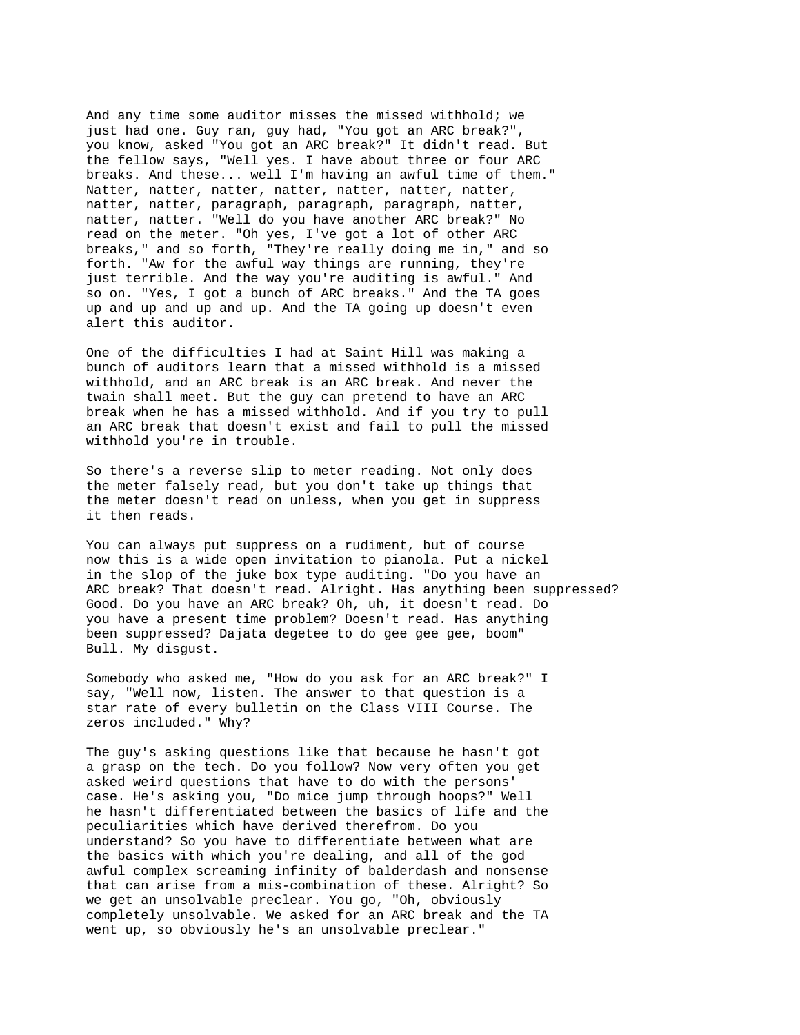And any time some auditor misses the missed withhold; we just had one. Guy ran, guy had, "You got an ARC break?", you know, asked "You got an ARC break?" It didn't read. But the fellow says, "Well yes. I have about three or four ARC breaks. And these... well I'm having an awful time of them." Natter, natter, natter, natter, natter, natter, natter, natter, natter, paragraph, paragraph, paragraph, natter, natter, natter. "Well do you have another ARC break?" No read on the meter. "Oh yes, I've got a lot of other ARC breaks," and so forth, "They're really doing me in," and so forth. "Aw for the awful way things are running, they're just terrible. And the way you're auditing is awful." And so on. "Yes, I got a bunch of ARC breaks." And the TA goes up and up and up and up. And the TA going up doesn't even alert this auditor.

One of the difficulties I had at Saint Hill was making a bunch of auditors learn that a missed withhold is a missed withhold, and an ARC break is an ARC break. And never the twain shall meet. But the guy can pretend to have an ARC break when he has a missed withhold. And if you try to pull an ARC break that doesn't exist and fail to pull the missed withhold you're in trouble.

So there's a reverse slip to meter reading. Not only does the meter falsely read, but you don't take up things that the meter doesn't read on unless, when you get in suppress it then reads.

You can always put suppress on a rudiment, but of course now this is a wide open invitation to pianola. Put a nickel in the slop of the juke box type auditing. "Do you have an ARC break? That doesn't read. Alright. Has anything been suppressed? Good. Do you have an ARC break? Oh, uh, it doesn't read. Do you have a present time problem? Doesn't read. Has anything been suppressed? Dajata degetee to do gee gee gee, boom" Bull. My disgust.

Somebody who asked me, "How do you ask for an ARC break?" I say, "Well now, listen. The answer to that question is a star rate of every bulletin on the Class VIII Course. The zeros included." Why?

The guy's asking questions like that because he hasn't got a grasp on the tech. Do you follow? Now very often you get asked weird questions that have to do with the persons' case. He's asking you, "Do mice jump through hoops?" Well he hasn't differentiated between the basics of life and the peculiarities which have derived therefrom. Do you understand? So you have to differentiate between what are the basics with which you're dealing, and all of the god awful complex screaming infinity of balderdash and nonsense that can arise from a mis-combination of these. Alright? So we get an unsolvable preclear. You go, "Oh, obviously completely unsolvable. We asked for an ARC break and the TA went up, so obviously he's an unsolvable preclear."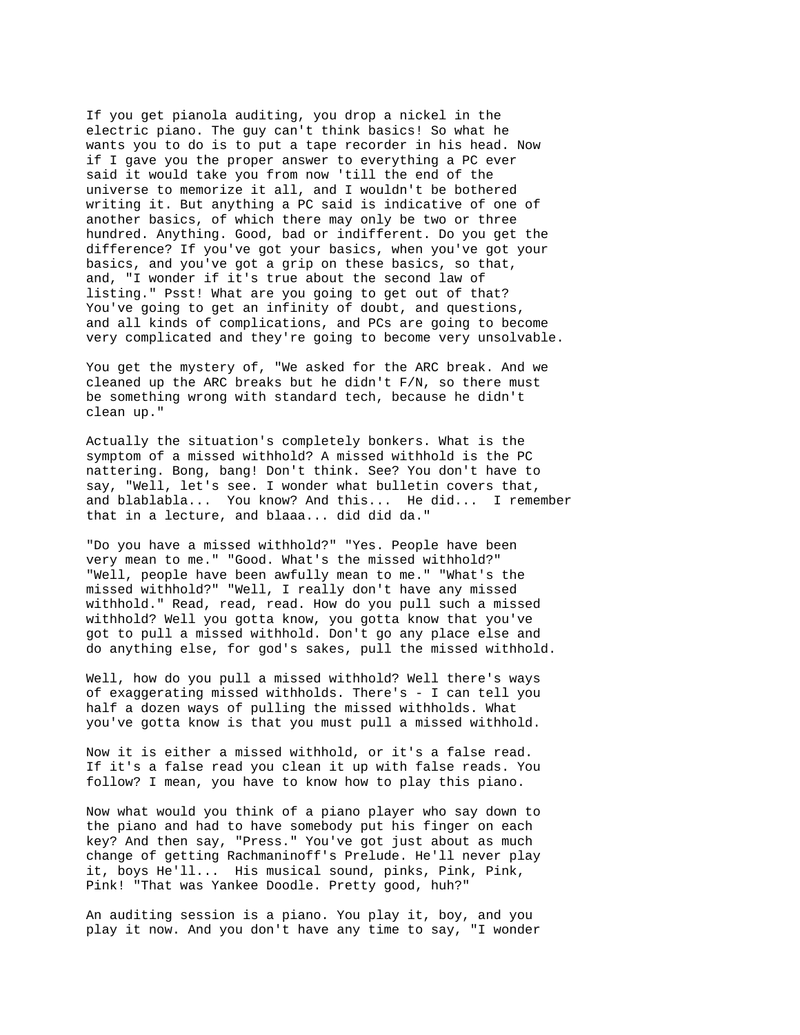If you get pianola auditing, you drop a nickel in the electric piano. The guy can't think basics! So what he wants you to do is to put a tape recorder in his head. Now if I gave you the proper answer to everything a PC ever said it would take you from now 'till the end of the universe to memorize it all, and I wouldn't be bothered writing it. But anything a PC said is indicative of one of another basics, of which there may only be two or three hundred. Anything. Good, bad or indifferent. Do you get the difference? If you've got your basics, when you've got your basics, and you've got a grip on these basics, so that, and, "I wonder if it's true about the second law of listing." Psst! What are you going to get out of that? You've going to get an infinity of doubt, and questions, and all kinds of complications, and PCs are going to become very complicated and they're going to become very unsolvable.

You get the mystery of, "We asked for the ARC break. And we cleaned up the ARC breaks but he didn't F/N, so there must be something wrong with standard tech, because he didn't clean up."

Actually the situation's completely bonkers. What is the symptom of a missed withhold? A missed withhold is the PC nattering. Bong, bang! Don't think. See? You don't have to say, "Well, let's see. I wonder what bulletin covers that, and blablabla... You know? And this... He did... I remember that in a lecture, and blaaa... did did da."

"Do you have a missed withhold?" "Yes. People have been very mean to me." "Good. What's the missed withhold?" "Well, people have been awfully mean to me." "What's the missed withhold?" "Well, I really don't have any missed withhold." Read, read, read. How do you pull such a missed withhold? Well you gotta know, you gotta know that you've got to pull a missed withhold. Don't go any place else and do anything else, for god's sakes, pull the missed withhold.

Well, how do you pull a missed withhold? Well there's ways of exaggerating missed withholds. There's - I can tell you half a dozen ways of pulling the missed withholds. What you've gotta know is that you must pull a missed withhold.

Now it is either a missed withhold, or it's a false read. If it's a false read you clean it up with false reads. You follow? I mean, you have to know how to play this piano.

Now what would you think of a piano player who say down to the piano and had to have somebody put his finger on each key? And then say, "Press." You've got just about as much change of getting Rachmaninoff's Prelude. He'll never play it, boys He'll... His musical sound, pinks, Pink, Pink, Pink! "That was Yankee Doodle. Pretty good, huh?"

An auditing session is a piano. You play it, boy, and you play it now. And you don't have any time to say, "I wonder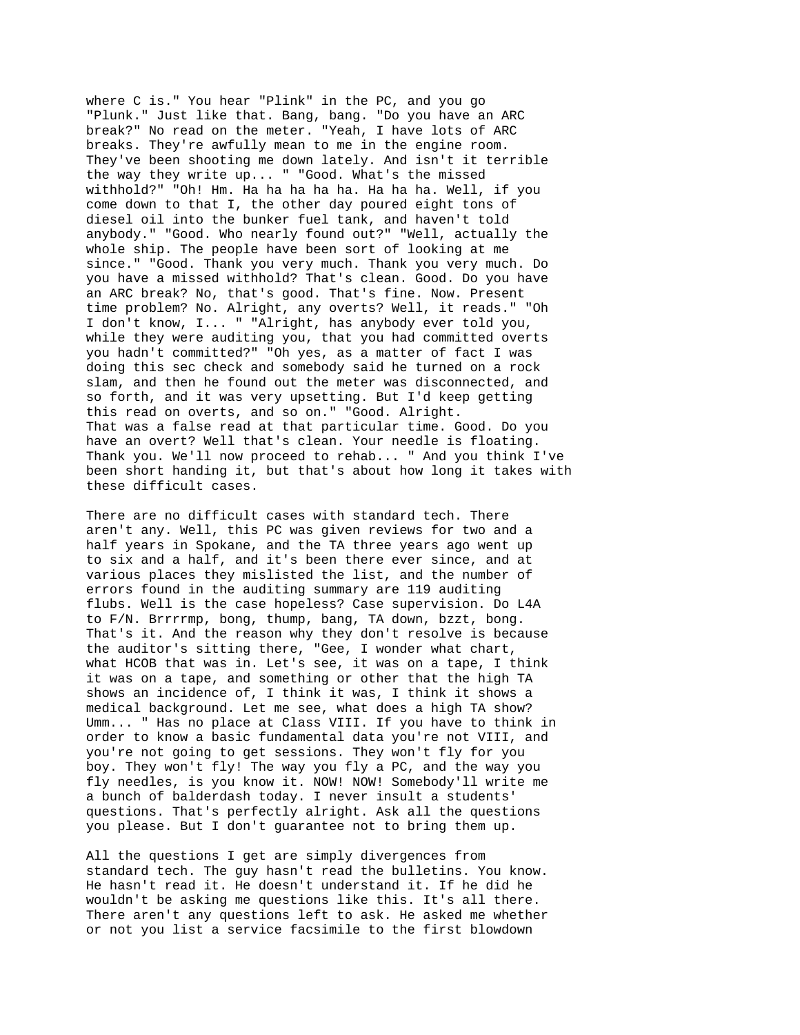where C is." You hear "Plink" in the PC, and you go "Plunk." Just like that. Bang, bang. "Do you have an ARC break?" No read on the meter. "Yeah, I have lots of ARC breaks. They're awfully mean to me in the engine room. They've been shooting me down lately. And isn't it terrible the way they write up... " "Good. What's the missed withhold?" "Oh! Hm. Ha ha ha ha ha. Ha ha ha. Well, if you come down to that I, the other day poured eight tons of diesel oil into the bunker fuel tank, and haven't told anybody." "Good. Who nearly found out?" "Well, actually the whole ship. The people have been sort of looking at me since." "Good. Thank you very much. Thank you very much. Do you have a missed withhold? That's clean. Good. Do you have an ARC break? No, that's good. That's fine. Now. Present time problem? No. Alright, any overts? Well, it reads." "Oh I don't know, I... " "Alright, has anybody ever told you, while they were auditing you, that you had committed overts you hadn't committed?" "Oh yes, as a matter of fact I was doing this sec check and somebody said he turned on a rock slam, and then he found out the meter was disconnected, and so forth, and it was very upsetting. But I'd keep getting this read on overts, and so on." "Good. Alright. That was a false read at that particular time. Good. Do you have an overt? Well that's clean. Your needle is floating. Thank you. We'll now proceed to rehab... " And you think I've been short handing it, but that's about how long it takes with these difficult cases.

There are no difficult cases with standard tech. There aren't any. Well, this PC was given reviews for two and a half years in Spokane, and the TA three years ago went up to six and a half, and it's been there ever since, and at various places they mislisted the list, and the number of errors found in the auditing summary are 119 auditing flubs. Well is the case hopeless? Case supervision. Do L4A to F/N. Brrrrmp, bong, thump, bang, TA down, bzzt, bong. That's it. And the reason why they don't resolve is because the auditor's sitting there, "Gee, I wonder what chart, what HCOB that was in. Let's see, it was on a tape, I think it was on a tape, and something or other that the high TA shows an incidence of, I think it was, I think it shows a medical background. Let me see, what does a high TA show? Umm... " Has no place at Class VIII. If you have to think in order to know a basic fundamental data you're not VIII, and you're not going to get sessions. They won't fly for you boy. They won't fly! The way you fly a PC, and the way you fly needles, is you know it. NOW! NOW! Somebody'll write me a bunch of balderdash today. I never insult a students' questions. That's perfectly alright. Ask all the questions you please. But I don't guarantee not to bring them up.

All the questions I get are simply divergences from standard tech. The guy hasn't read the bulletins. You know. He hasn't read it. He doesn't understand it. If he did he wouldn't be asking me questions like this. It's all there. There aren't any questions left to ask. He asked me whether or not you list a service facsimile to the first blowdown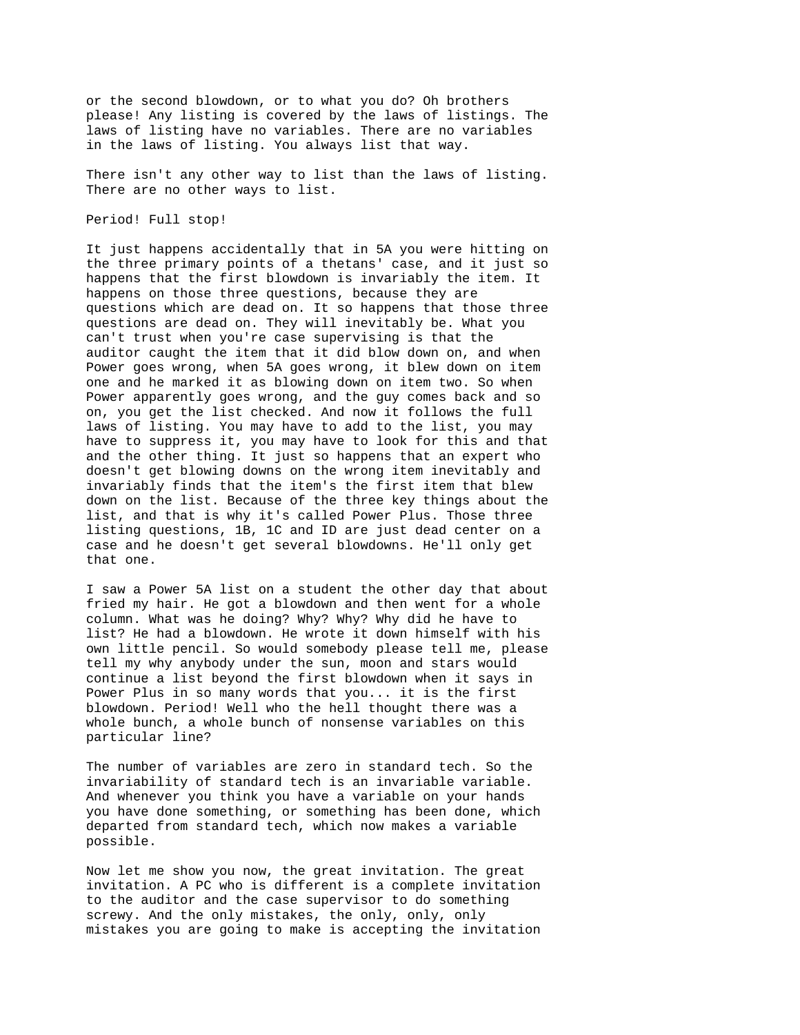or the second blowdown, or to what you do? Oh brothers please! Any listing is covered by the laws of listings. The laws of listing have no variables. There are no variables in the laws of listing. You always list that way.

There isn't any other way to list than the laws of listing. There are no other ways to list.

## Period! Full stop!

It just happens accidentally that in 5A you were hitting on the three primary points of a thetans' case, and it just so happens that the first blowdown is invariably the item. It happens on those three questions, because they are questions which are dead on. It so happens that those three questions are dead on. They will inevitably be. What you can't trust when you're case supervising is that the auditor caught the item that it did blow down on, and when Power goes wrong, when 5A goes wrong, it blew down on item one and he marked it as blowing down on item two. So when Power apparently goes wrong, and the guy comes back and so on, you get the list checked. And now it follows the full laws of listing. You may have to add to the list, you may have to suppress it, you may have to look for this and that and the other thing. It just so happens that an expert who doesn't get blowing downs on the wrong item inevitably and invariably finds that the item's the first item that blew down on the list. Because of the three key things about the list, and that is why it's called Power Plus. Those three listing questions, 1B, 1C and ID are just dead center on a case and he doesn't get several blowdowns. He'll only get that one.

I saw a Power 5A list on a student the other day that about fried my hair. He got a blowdown and then went for a whole column. What was he doing? Why? Why? Why did he have to list? He had a blowdown. He wrote it down himself with his own little pencil. So would somebody please tell me, please tell my why anybody under the sun, moon and stars would continue a list beyond the first blowdown when it says in Power Plus in so many words that you... it is the first blowdown. Period! Well who the hell thought there was a whole bunch, a whole bunch of nonsense variables on this particular line?

The number of variables are zero in standard tech. So the invariability of standard tech is an invariable variable. And whenever you think you have a variable on your hands you have done something, or something has been done, which departed from standard tech, which now makes a variable possible.

Now let me show you now, the great invitation. The great invitation. A PC who is different is a complete invitation to the auditor and the case supervisor to do something screwy. And the only mistakes, the only, only, only mistakes you are going to make is accepting the invitation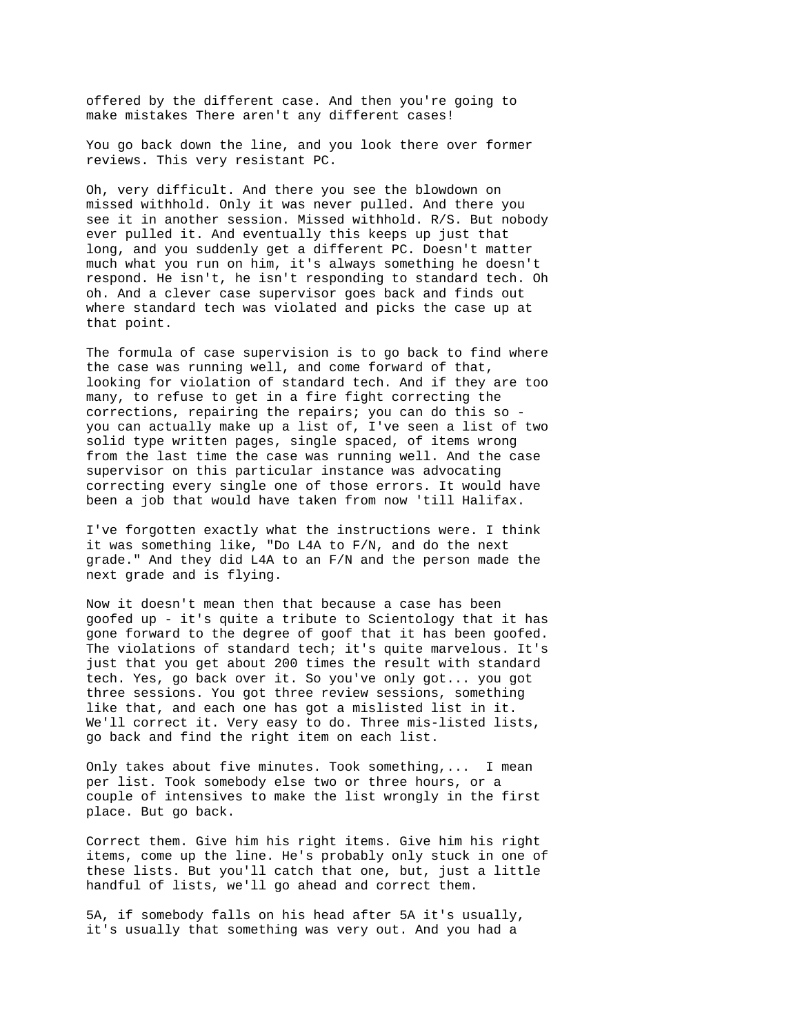offered by the different case. And then you're going to make mistakes There aren't any different cases!

You go back down the line, and you look there over former reviews. This very resistant PC.

Oh, very difficult. And there you see the blowdown on missed withhold. Only it was never pulled. And there you see it in another session. Missed withhold. R/S. But nobody ever pulled it. And eventually this keeps up just that long, and you suddenly get a different PC. Doesn't matter much what you run on him, it's always something he doesn't respond. He isn't, he isn't responding to standard tech. Oh oh. And a clever case supervisor goes back and finds out where standard tech was violated and picks the case up at that point.

The formula of case supervision is to go back to find where the case was running well, and come forward of that, looking for violation of standard tech. And if they are too many, to refuse to get in a fire fight correcting the corrections, repairing the repairs; you can do this so you can actually make up a list of, I've seen a list of two solid type written pages, single spaced, of items wrong from the last time the case was running well. And the case supervisor on this particular instance was advocating correcting every single one of those errors. It would have been a job that would have taken from now 'till Halifax.

I've forgotten exactly what the instructions were. I think it was something like, "Do L4A to F/N, and do the next grade." And they did L4A to an F/N and the person made the next grade and is flying.

Now it doesn't mean then that because a case has been goofed up - it's quite a tribute to Scientology that it has gone forward to the degree of goof that it has been goofed. The violations of standard tech; it's quite marvelous. It's just that you get about 200 times the result with standard tech. Yes, go back over it. So you've only got... you got three sessions. You got three review sessions, something like that, and each one has got a mislisted list in it. We'll correct it. Very easy to do. Three mis-listed lists, go back and find the right item on each list.

Only takes about five minutes. Took something,... I mean per list. Took somebody else two or three hours, or a couple of intensives to make the list wrongly in the first place. But go back.

Correct them. Give him his right items. Give him his right items, come up the line. He's probably only stuck in one of these lists. But you'll catch that one, but, just a little handful of lists, we'll go ahead and correct them.

5A, if somebody falls on his head after 5A it's usually, it's usually that something was very out. And you had a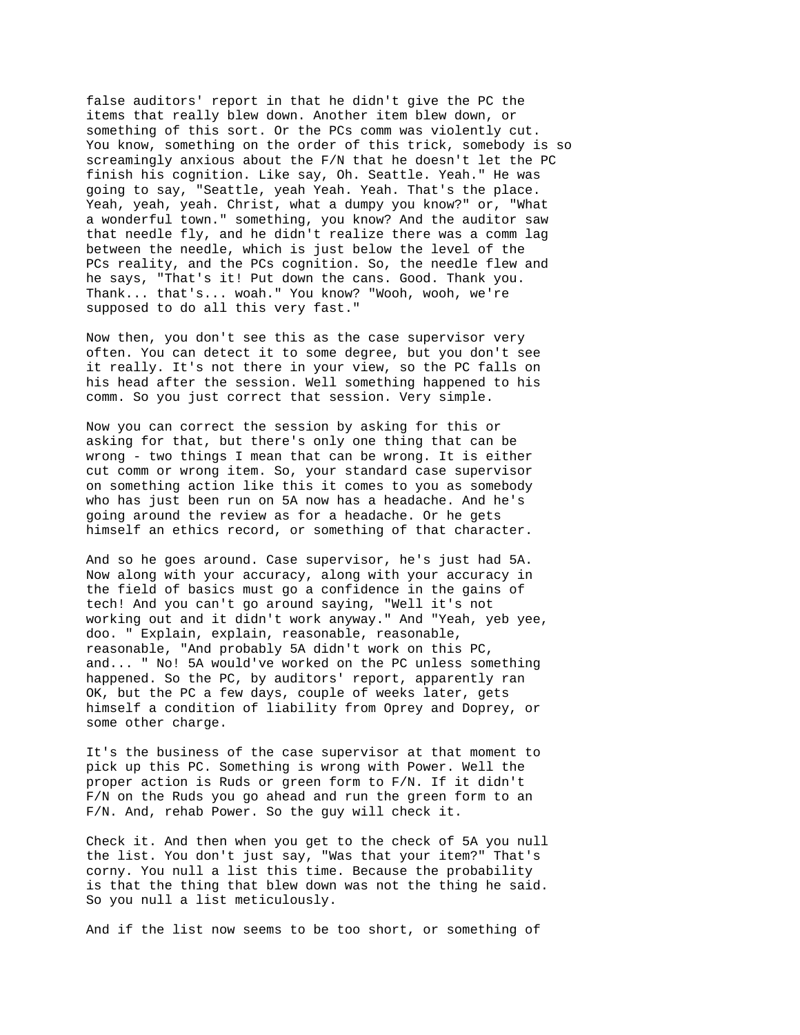false auditors' report in that he didn't give the PC the items that really blew down. Another item blew down, or something of this sort. Or the PCs comm was violently cut. You know, something on the order of this trick, somebody is so screamingly anxious about the F/N that he doesn't let the PC finish his cognition. Like say, Oh. Seattle. Yeah." He was going to say, "Seattle, yeah Yeah. Yeah. That's the place. Yeah, yeah, yeah. Christ, what a dumpy you know?" or, "What a wonderful town." something, you know? And the auditor saw that needle fly, and he didn't realize there was a comm lag between the needle, which is just below the level of the PCs reality, and the PCs cognition. So, the needle flew and he says, "That's it! Put down the cans. Good. Thank you. Thank... that's... woah." You know? "Wooh, wooh, we're supposed to do all this very fast."

Now then, you don't see this as the case supervisor very often. You can detect it to some degree, but you don't see it really. It's not there in your view, so the PC falls on his head after the session. Well something happened to his comm. So you just correct that session. Very simple.

Now you can correct the session by asking for this or asking for that, but there's only one thing that can be wrong - two things I mean that can be wrong. It is either cut comm or wrong item. So, your standard case supervisor on something action like this it comes to you as somebody who has just been run on 5A now has a headache. And he's going around the review as for a headache. Or he gets himself an ethics record, or something of that character.

And so he goes around. Case supervisor, he's just had 5A. Now along with your accuracy, along with your accuracy in the field of basics must go a confidence in the gains of tech! And you can't go around saying, "Well it's not working out and it didn't work anyway." And "Yeah, yeb yee, doo. " Explain, explain, reasonable, reasonable, reasonable, "And probably 5A didn't work on this PC, and... " No! 5A would've worked on the PC unless something happened. So the PC, by auditors' report, apparently ran OK, but the PC a few days, couple of weeks later, gets himself a condition of liability from Oprey and Doprey, or some other charge.

It's the business of the case supervisor at that moment to pick up this PC. Something is wrong with Power. Well the proper action is Ruds or green form to F/N. If it didn't F/N on the Ruds you go ahead and run the green form to an F/N. And, rehab Power. So the guy will check it.

Check it. And then when you get to the check of 5A you null the list. You don't just say, "Was that your item?" That's corny. You null a list this time. Because the probability is that the thing that blew down was not the thing he said. So you null a list meticulously.

And if the list now seems to be too short, or something of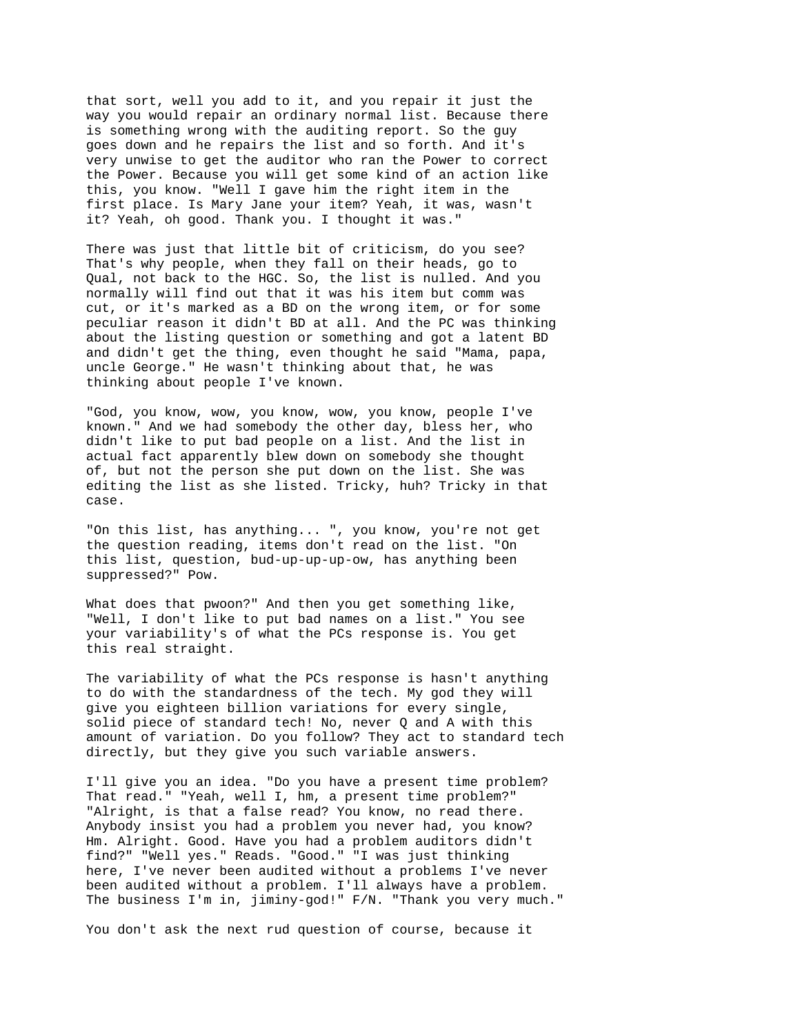that sort, well you add to it, and you repair it just the way you would repair an ordinary normal list. Because there is something wrong with the auditing report. So the guy goes down and he repairs the list and so forth. And it's very unwise to get the auditor who ran the Power to correct the Power. Because you will get some kind of an action like this, you know. "Well I gave him the right item in the first place. Is Mary Jane your item? Yeah, it was, wasn't it? Yeah, oh good. Thank you. I thought it was."

There was just that little bit of criticism, do you see? That's why people, when they fall on their heads, go to Qual, not back to the HGC. So, the list is nulled. And you normally will find out that it was his item but comm was cut, or it's marked as a BD on the wrong item, or for some peculiar reason it didn't BD at all. And the PC was thinking about the listing question or something and got a latent BD and didn't get the thing, even thought he said "Mama, papa, uncle George." He wasn't thinking about that, he was thinking about people I've known.

"God, you know, wow, you know, wow, you know, people I've known." And we had somebody the other day, bless her, who didn't like to put bad people on a list. And the list in actual fact apparently blew down on somebody she thought of, but not the person she put down on the list. She was editing the list as she listed. Tricky, huh? Tricky in that case.

"On this list, has anything... ", you know, you're not get the question reading, items don't read on the list. "On this list, question, bud-up-up-up-ow, has anything been suppressed?" Pow.

What does that pwoon?" And then you get something like, "Well, I don't like to put bad names on a list." You see your variability's of what the PCs response is. You get this real straight.

The variability of what the PCs response is hasn't anything to do with the standardness of the tech. My god they will give you eighteen billion variations for every single, solid piece of standard tech! No, never Q and A with this amount of variation. Do you follow? They act to standard tech directly, but they give you such variable answers.

I'll give you an idea. "Do you have a present time problem? That read." "Yeah, well I, hm, a present time problem?" "Alright, is that a false read? You know, no read there. Anybody insist you had a problem you never had, you know? Hm. Alright. Good. Have you had a problem auditors didn't find?" "Well yes." Reads. "Good." "I was just thinking here, I've never been audited without a problems I've never been audited without a problem. I'll always have a problem. The business I'm in, jiminy-god!" F/N. "Thank you very much."

You don't ask the next rud question of course, because it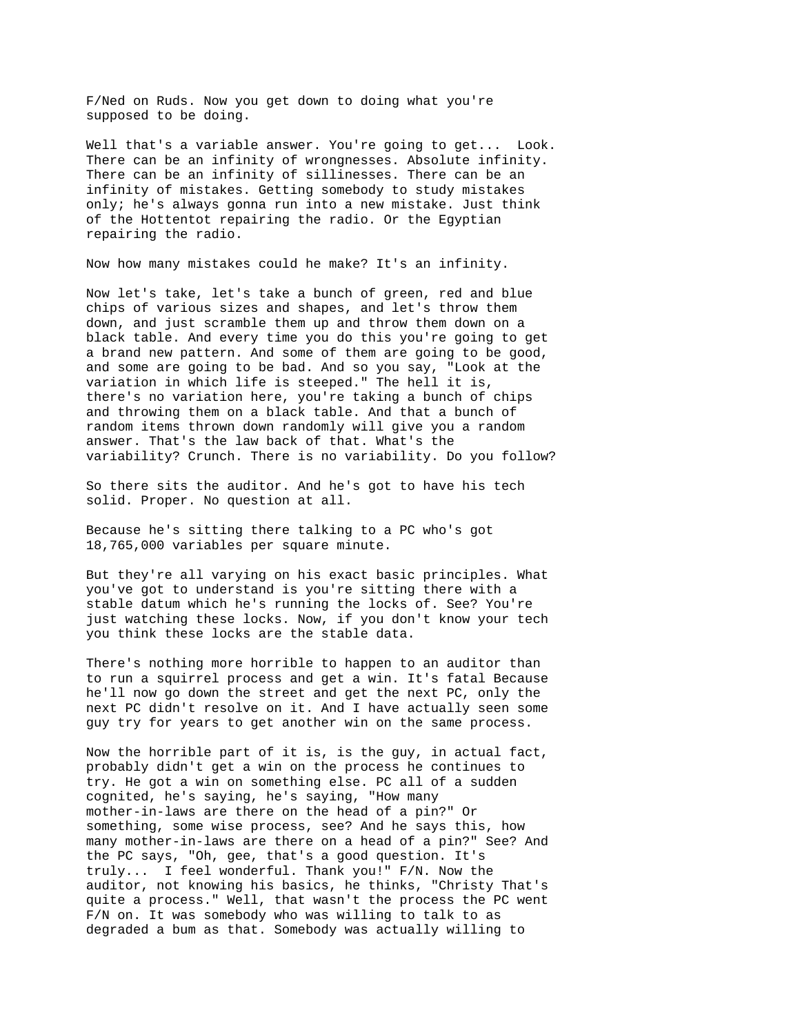F/Ned on Ruds. Now you get down to doing what you're supposed to be doing.

Well that's a variable answer. You're going to get... Look. There can be an infinity of wrongnesses. Absolute infinity. There can be an infinity of sillinesses. There can be an infinity of mistakes. Getting somebody to study mistakes only; he's always gonna run into a new mistake. Just think of the Hottentot repairing the radio. Or the Egyptian repairing the radio.

Now how many mistakes could he make? It's an infinity.

Now let's take, let's take a bunch of green, red and blue chips of various sizes and shapes, and let's throw them down, and just scramble them up and throw them down on a black table. And every time you do this you're going to get a brand new pattern. And some of them are going to be good, and some are going to be bad. And so you say, "Look at the variation in which life is steeped." The hell it is, there's no variation here, you're taking a bunch of chips and throwing them on a black table. And that a bunch of random items thrown down randomly will give you a random answer. That's the law back of that. What's the variability? Crunch. There is no variability. Do you follow?

So there sits the auditor. And he's got to have his tech solid. Proper. No question at all.

Because he's sitting there talking to a PC who's got 18,765,000 variables per square minute.

But they're all varying on his exact basic principles. What you've got to understand is you're sitting there with a stable datum which he's running the locks of. See? You're just watching these locks. Now, if you don't know your tech you think these locks are the stable data.

There's nothing more horrible to happen to an auditor than to run a squirrel process and get a win. It's fatal Because he'll now go down the street and get the next PC, only the next PC didn't resolve on it. And I have actually seen some guy try for years to get another win on the same process.

Now the horrible part of it is, is the guy, in actual fact, probably didn't get a win on the process he continues to try. He got a win on something else. PC all of a sudden cognited, he's saying, he's saying, "How many mother-in-laws are there on the head of a pin?" Or something, some wise process, see? And he says this, how many mother-in-laws are there on a head of a pin?" See? And the PC says, "Oh, gee, that's a good question. It's truly... I feel wonderful. Thank you!" F/N. Now the auditor, not knowing his basics, he thinks, "Christy That's quite a process." Well, that wasn't the process the PC went F/N on. It was somebody who was willing to talk to as degraded a bum as that. Somebody was actually willing to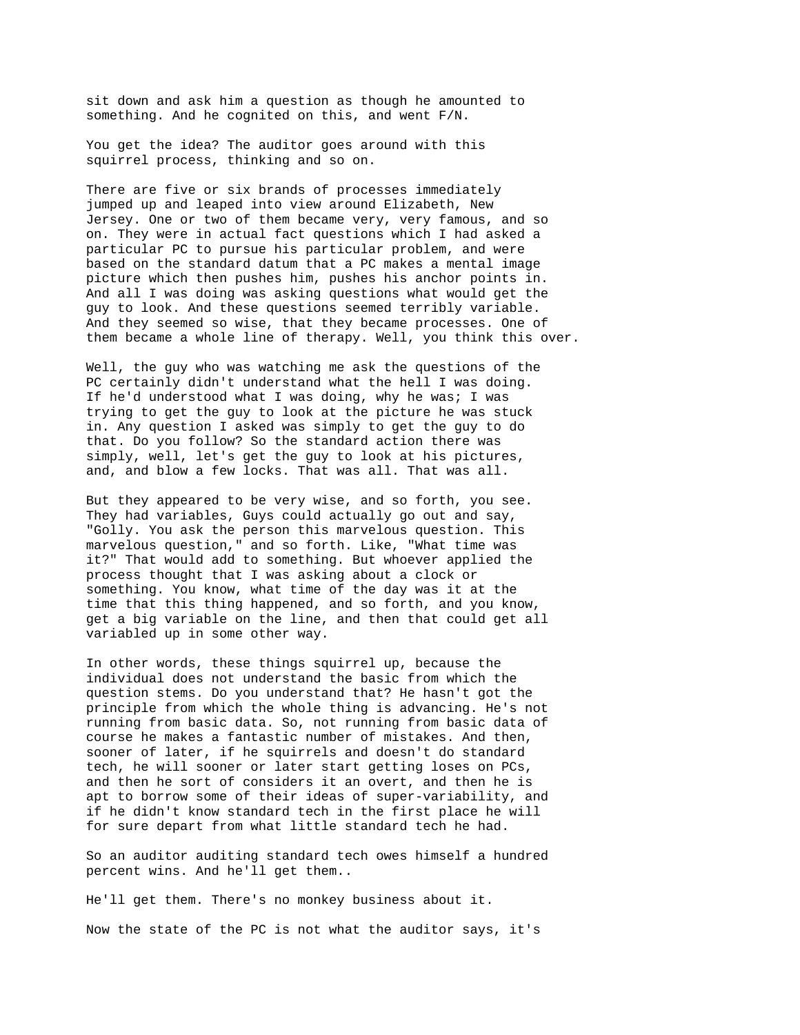sit down and ask him a question as though he amounted to something. And he cognited on this, and went F/N.

You get the idea? The auditor goes around with this squirrel process, thinking and so on.

There are five or six brands of processes immediately jumped up and leaped into view around Elizabeth, New Jersey. One or two of them became very, very famous, and so on. They were in actual fact questions which I had asked a particular PC to pursue his particular problem, and were based on the standard datum that a PC makes a mental image picture which then pushes him, pushes his anchor points in. And all I was doing was asking questions what would get the guy to look. And these questions seemed terribly variable. And they seemed so wise, that they became processes. One of them became a whole line of therapy. Well, you think this over.

Well, the guy who was watching me ask the questions of the PC certainly didn't understand what the hell I was doing. If he'd understood what I was doing, why he was; I was trying to get the guy to look at the picture he was stuck in. Any question I asked was simply to get the guy to do that. Do you follow? So the standard action there was simply, well, let's get the guy to look at his pictures, and, and blow a few locks. That was all. That was all.

But they appeared to be very wise, and so forth, you see. They had variables, Guys could actually go out and say, "Golly. You ask the person this marvelous question. This marvelous question," and so forth. Like, "What time was it?" That would add to something. But whoever applied the process thought that I was asking about a clock or something. You know, what time of the day was it at the time that this thing happened, and so forth, and you know, get a big variable on the line, and then that could get all variabled up in some other way.

In other words, these things squirrel up, because the individual does not understand the basic from which the question stems. Do you understand that? He hasn't got the principle from which the whole thing is advancing. He's not running from basic data. So, not running from basic data of course he makes a fantastic number of mistakes. And then, sooner of later, if he squirrels and doesn't do standard tech, he will sooner or later start getting loses on PCs, and then he sort of considers it an overt, and then he is apt to borrow some of their ideas of super-variability, and if he didn't know standard tech in the first place he will for sure depart from what little standard tech he had.

So an auditor auditing standard tech owes himself a hundred percent wins. And he'll get them..

He'll get them. There's no monkey business about it. Now the state of the PC is not what the auditor says, it's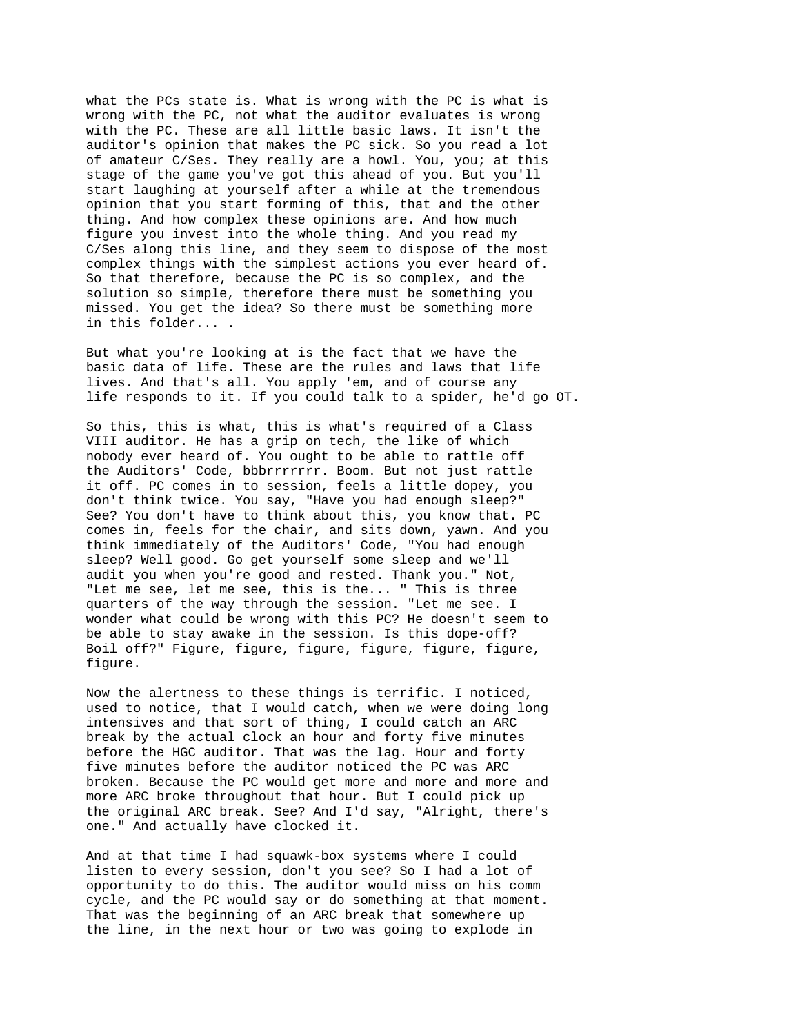what the PCs state is. What is wrong with the PC is what is wrong with the PC, not what the auditor evaluates is wrong with the PC. These are all little basic laws. It isn't the auditor's opinion that makes the PC sick. So you read a lot of amateur C/Ses. They really are a howl. You, you; at this stage of the game you've got this ahead of you. But you'll start laughing at yourself after a while at the tremendous opinion that you start forming of this, that and the other thing. And how complex these opinions are. And how much figure you invest into the whole thing. And you read my C/Ses along this line, and they seem to dispose of the most complex things with the simplest actions you ever heard of. So that therefore, because the PC is so complex, and the solution so simple, therefore there must be something you missed. You get the idea? So there must be something more in this folder... .

But what you're looking at is the fact that we have the basic data of life. These are the rules and laws that life lives. And that's all. You apply 'em, and of course any life responds to it. If you could talk to a spider, he'd go OT.

So this, this is what, this is what's required of a Class VIII auditor. He has a grip on tech, the like of which nobody ever heard of. You ought to be able to rattle off the Auditors' Code, bbbrrrrrrr. Boom. But not just rattle it off. PC comes in to session, feels a little dopey, you don't think twice. You say, "Have you had enough sleep?" See? You don't have to think about this, you know that. PC comes in, feels for the chair, and sits down, yawn. And you think immediately of the Auditors' Code, "You had enough sleep? Well good. Go get yourself some sleep and we'll audit you when you're good and rested. Thank you." Not, "Let me see, let me see, this is the... " This is three quarters of the way through the session. "Let me see. I wonder what could be wrong with this PC? He doesn't seem to be able to stay awake in the session. Is this dope-off? Boil off?" Figure, figure, figure, figure, figure, figure, figure.

Now the alertness to these things is terrific. I noticed, used to notice, that I would catch, when we were doing long intensives and that sort of thing, I could catch an ARC break by the actual clock an hour and forty five minutes before the HGC auditor. That was the lag. Hour and forty five minutes before the auditor noticed the PC was ARC broken. Because the PC would get more and more and more and more ARC broke throughout that hour. But I could pick up the original ARC break. See? And I'd say, "Alright, there's one." And actually have clocked it.

And at that time I had squawk-box systems where I could listen to every session, don't you see? So I had a lot of opportunity to do this. The auditor would miss on his comm cycle, and the PC would say or do something at that moment. That was the beginning of an ARC break that somewhere up the line, in the next hour or two was going to explode in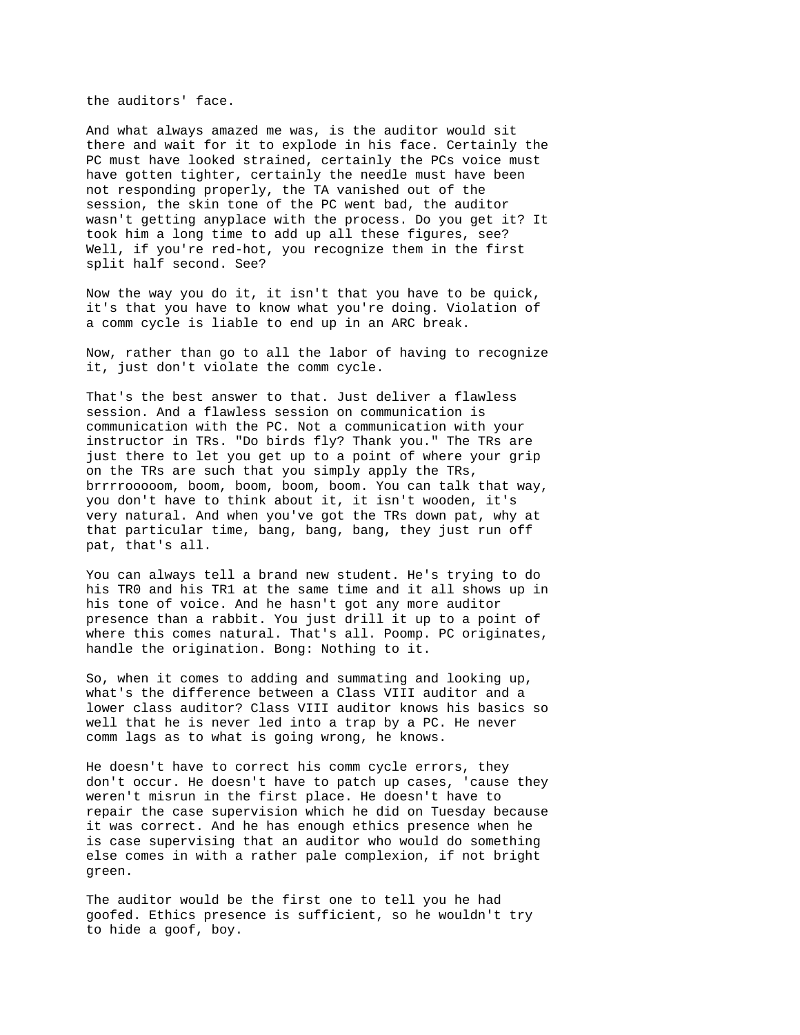the auditors' face.

And what always amazed me was, is the auditor would sit there and wait for it to explode in his face. Certainly the PC must have looked strained, certainly the PCs voice must have gotten tighter, certainly the needle must have been not responding properly, the TA vanished out of the session, the skin tone of the PC went bad, the auditor wasn't getting anyplace with the process. Do you get it? It took him a long time to add up all these figures, see? Well, if you're red-hot, you recognize them in the first split half second. See?

Now the way you do it, it isn't that you have to be quick, it's that you have to know what you're doing. Violation of a comm cycle is liable to end up in an ARC break.

Now, rather than go to all the labor of having to recognize it, just don't violate the comm cycle.

That's the best answer to that. Just deliver a flawless session. And a flawless session on communication is communication with the PC. Not a communication with your instructor in TRs. "Do birds fly? Thank you." The TRs are just there to let you get up to a point of where your grip on the TRs are such that you simply apply the TRs, brrrrooooom, boom, boom, boom, boom. You can talk that way, you don't have to think about it, it isn't wooden, it's very natural. And when you've got the TRs down pat, why at that particular time, bang, bang, bang, they just run off pat, that's all.

You can always tell a brand new student. He's trying to do his TR0 and his TR1 at the same time and it all shows up in his tone of voice. And he hasn't got any more auditor presence than a rabbit. You just drill it up to a point of where this comes natural. That's all. Poomp. PC originates, handle the origination. Bong: Nothing to it.

So, when it comes to adding and summating and looking up, what's the difference between a Class VIII auditor and a lower class auditor? Class VIII auditor knows his basics so well that he is never led into a trap by a PC. He never comm lags as to what is going wrong, he knows.

He doesn't have to correct his comm cycle errors, they don't occur. He doesn't have to patch up cases, 'cause they weren't misrun in the first place. He doesn't have to repair the case supervision which he did on Tuesday because it was correct. And he has enough ethics presence when he is case supervising that an auditor who would do something else comes in with a rather pale complexion, if not bright green.

The auditor would be the first one to tell you he had goofed. Ethics presence is sufficient, so he wouldn't try to hide a goof, boy.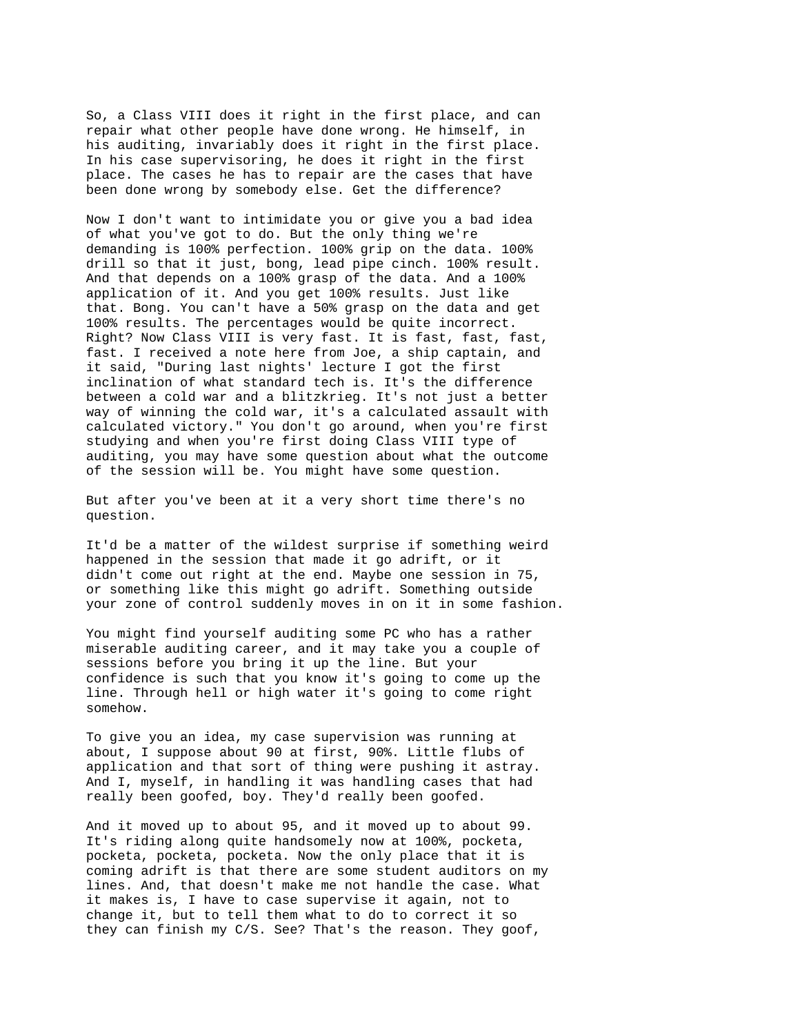So, a Class VIII does it right in the first place, and can repair what other people have done wrong. He himself, in his auditing, invariably does it right in the first place. In his case supervisoring, he does it right in the first place. The cases he has to repair are the cases that have been done wrong by somebody else. Get the difference?

Now I don't want to intimidate you or give you a bad idea of what you've got to do. But the only thing we're demanding is 100% perfection. 100% grip on the data. 100% drill so that it just, bong, lead pipe cinch. 100% result. And that depends on a 100% grasp of the data. And a 100% application of it. And you get 100% results. Just like that. Bong. You can't have a 50% grasp on the data and get 100% results. The percentages would be quite incorrect. Right? Now Class VIII is very fast. It is fast, fast, fast, fast. I received a note here from Joe, a ship captain, and it said, "During last nights' lecture I got the first inclination of what standard tech is. It's the difference between a cold war and a blitzkrieg. It's not just a better way of winning the cold war, it's a calculated assault with calculated victory." You don't go around, when you're first studying and when you're first doing Class VIII type of auditing, you may have some question about what the outcome of the session will be. You might have some question.

But after you've been at it a very short time there's no question.

It'd be a matter of the wildest surprise if something weird happened in the session that made it go adrift, or it didn't come out right at the end. Maybe one session in 75, or something like this might go adrift. Something outside your zone of control suddenly moves in on it in some fashion.

You might find yourself auditing some PC who has a rather miserable auditing career, and it may take you a couple of sessions before you bring it up the line. But your confidence is such that you know it's going to come up the line. Through hell or high water it's going to come right somehow.

To give you an idea, my case supervision was running at about, I suppose about 90 at first, 90%. Little flubs of application and that sort of thing were pushing it astray. And I, myself, in handling it was handling cases that had really been goofed, boy. They'd really been goofed.

And it moved up to about 95, and it moved up to about 99. It's riding along quite handsomely now at 100%, pocketa, pocketa, pocketa, pocketa. Now the only place that it is coming adrift is that there are some student auditors on my lines. And, that doesn't make me not handle the case. What it makes is, I have to case supervise it again, not to change it, but to tell them what to do to correct it so they can finish my C/S. See? That's the reason. They goof,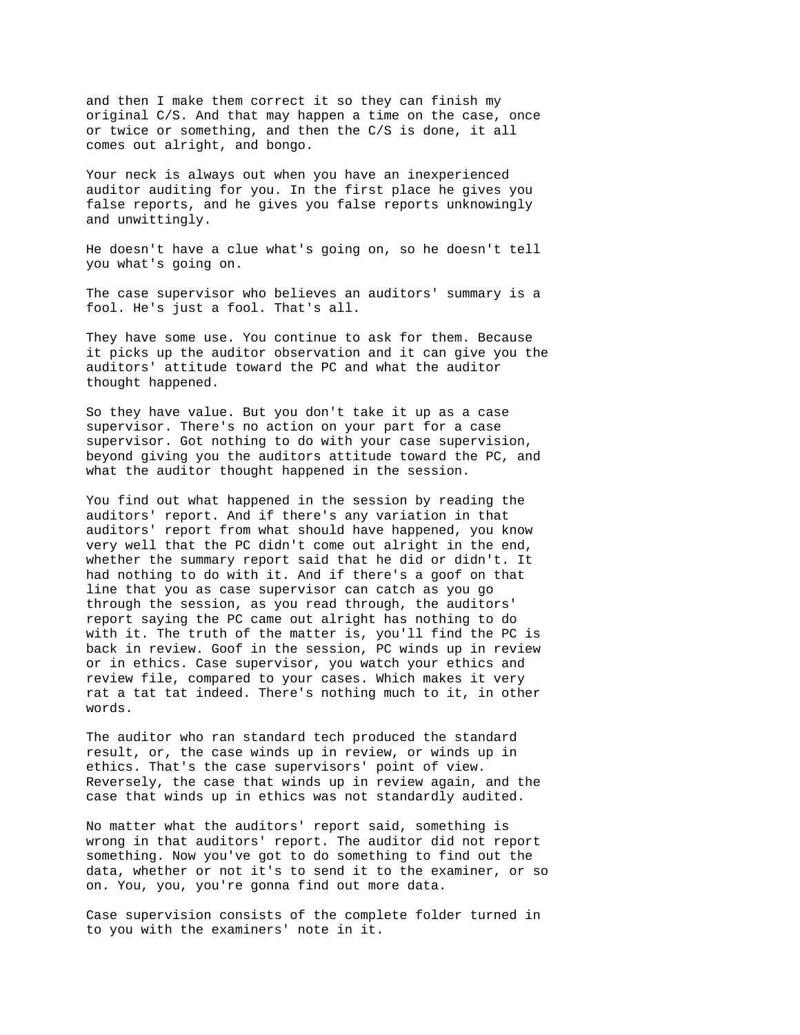and then I make them correct it so they can finish my original C/S. And that may happen a time on the case, once or twice or something, and then the C/S is done, it all comes out alright, and bongo.

Your neck is always out when you have an inexperienced auditor auditing for you. In the first place he gives you false reports, and he gives you false reports unknowingly and unwittingly.

He doesn't have a clue what's going on, so he doesn't tell you what's going on.

The case supervisor who believes an auditors' summary is a fool. He's just a fool. That's all.

They have some use. You continue to ask for them. Because it picks up the auditor observation and it can give you the auditors' attitude toward the PC and what the auditor thought happened.

So they have value. But you don't take it up as a case supervisor. There's no action on your part for a case supervisor. Got nothing to do with your case supervision, beyond giving you the auditors attitude toward the PC, and what the auditor thought happened in the session.

You find out what happened in the session by reading the auditors' report. And if there's any variation in that auditors' report from what should have happened, you know very well that the PC didn't come out alright in the end, whether the summary report said that he did or didn't. It had nothing to do with it. And if there's a goof on that line that you as case supervisor can catch as you go through the session, as you read through, the auditors' report saying the PC came out alright has nothing to do with it. The truth of the matter is, you'll find the PC is back in review. Goof in the session, PC winds up in review or in ethics. Case supervisor, you watch your ethics and review file, compared to your cases. Which makes it very rat a tat tat indeed. There's nothing much to it, in other words.

The auditor who ran standard tech produced the standard result, or, the case winds up in review, or winds up in ethics. That's the case supervisors' point of view. Reversely, the case that winds up in review again, and the case that winds up in ethics was not standardly audited.

No matter what the auditors' report said, something is wrong in that auditors' report. The auditor did not report something. Now you've got to do something to find out the data, whether or not it's to send it to the examiner, or so on. You, you, you're gonna find out more data.

Case supervision consists of the complete folder turned in to you with the examiners' note in it.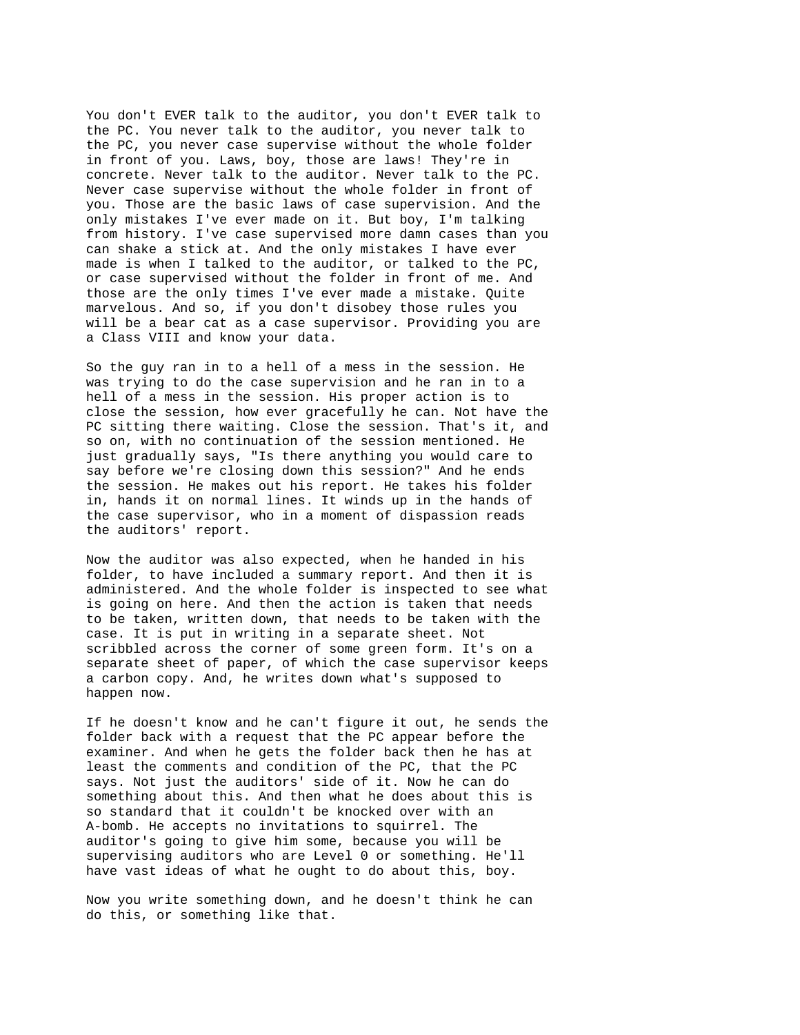You don't EVER talk to the auditor, you don't EVER talk to the PC. You never talk to the auditor, you never talk to the PC, you never case supervise without the whole folder in front of you. Laws, boy, those are laws! They're in concrete. Never talk to the auditor. Never talk to the PC. Never case supervise without the whole folder in front of you. Those are the basic laws of case supervision. And the only mistakes I've ever made on it. But boy, I'm talking from history. I've case supervised more damn cases than you can shake a stick at. And the only mistakes I have ever made is when I talked to the auditor, or talked to the PC, or case supervised without the folder in front of me. And those are the only times I've ever made a mistake. Quite marvelous. And so, if you don't disobey those rules you will be a bear cat as a case supervisor. Providing you are a Class VIII and know your data.

So the guy ran in to a hell of a mess in the session. He was trying to do the case supervision and he ran in to a hell of a mess in the session. His proper action is to close the session, how ever gracefully he can. Not have the PC sitting there waiting. Close the session. That's it, and so on, with no continuation of the session mentioned. He just gradually says, "Is there anything you would care to say before we're closing down this session?" And he ends the session. He makes out his report. He takes his folder in, hands it on normal lines. It winds up in the hands of the case supervisor, who in a moment of dispassion reads the auditors' report.

Now the auditor was also expected, when he handed in his folder, to have included a summary report. And then it is administered. And the whole folder is inspected to see what is going on here. And then the action is taken that needs to be taken, written down, that needs to be taken with the case. It is put in writing in a separate sheet. Not scribbled across the corner of some green form. It's on a separate sheet of paper, of which the case supervisor keeps a carbon copy. And, he writes down what's supposed to happen now.

If he doesn't know and he can't figure it out, he sends the folder back with a request that the PC appear before the examiner. And when he gets the folder back then he has at least the comments and condition of the PC, that the PC says. Not just the auditors' side of it. Now he can do something about this. And then what he does about this is so standard that it couldn't be knocked over with an A-bomb. He accepts no invitations to squirrel. The auditor's going to give him some, because you will be supervising auditors who are Level 0 or something. He'll have vast ideas of what he ought to do about this, boy.

Now you write something down, and he doesn't think he can do this, or something like that.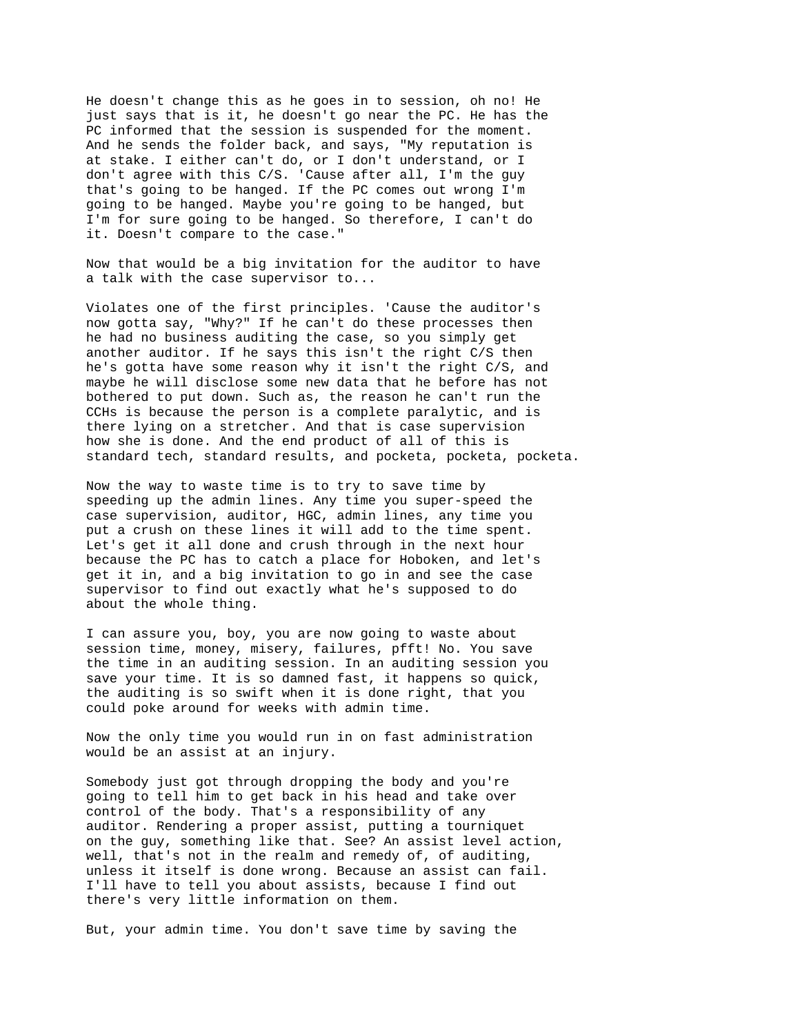He doesn't change this as he goes in to session, oh no! He just says that is it, he doesn't go near the PC. He has the PC informed that the session is suspended for the moment. And he sends the folder back, and says, "My reputation is at stake. I either can't do, or I don't understand, or I don't agree with this C/S. 'Cause after all, I'm the guy that's going to be hanged. If the PC comes out wrong I'm going to be hanged. Maybe you're going to be hanged, but I'm for sure going to be hanged. So therefore, I can't do it. Doesn't compare to the case."

Now that would be a big invitation for the auditor to have a talk with the case supervisor to...

Violates one of the first principles. 'Cause the auditor's now gotta say, "Why?" If he can't do these processes then he had no business auditing the case, so you simply get another auditor. If he says this isn't the right C/S then he's gotta have some reason why it isn't the right C/S, and maybe he will disclose some new data that he before has not bothered to put down. Such as, the reason he can't run the CCHs is because the person is a complete paralytic, and is there lying on a stretcher. And that is case supervision how she is done. And the end product of all of this is standard tech, standard results, and pocketa, pocketa, pocketa.

Now the way to waste time is to try to save time by speeding up the admin lines. Any time you super-speed the case supervision, auditor, HGC, admin lines, any time you put a crush on these lines it will add to the time spent. Let's get it all done and crush through in the next hour because the PC has to catch a place for Hoboken, and let's get it in, and a big invitation to go in and see the case supervisor to find out exactly what he's supposed to do about the whole thing.

I can assure you, boy, you are now going to waste about session time, money, misery, failures, pfft! No. You save the time in an auditing session. In an auditing session you save your time. It is so damned fast, it happens so quick, the auditing is so swift when it is done right, that you could poke around for weeks with admin time.

Now the only time you would run in on fast administration would be an assist at an injury.

Somebody just got through dropping the body and you're going to tell him to get back in his head and take over control of the body. That's a responsibility of any auditor. Rendering a proper assist, putting a tourniquet on the guy, something like that. See? An assist level action, well, that's not in the realm and remedy of, of auditing, unless it itself is done wrong. Because an assist can fail. I'll have to tell you about assists, because I find out there's very little information on them.

But, your admin time. You don't save time by saving the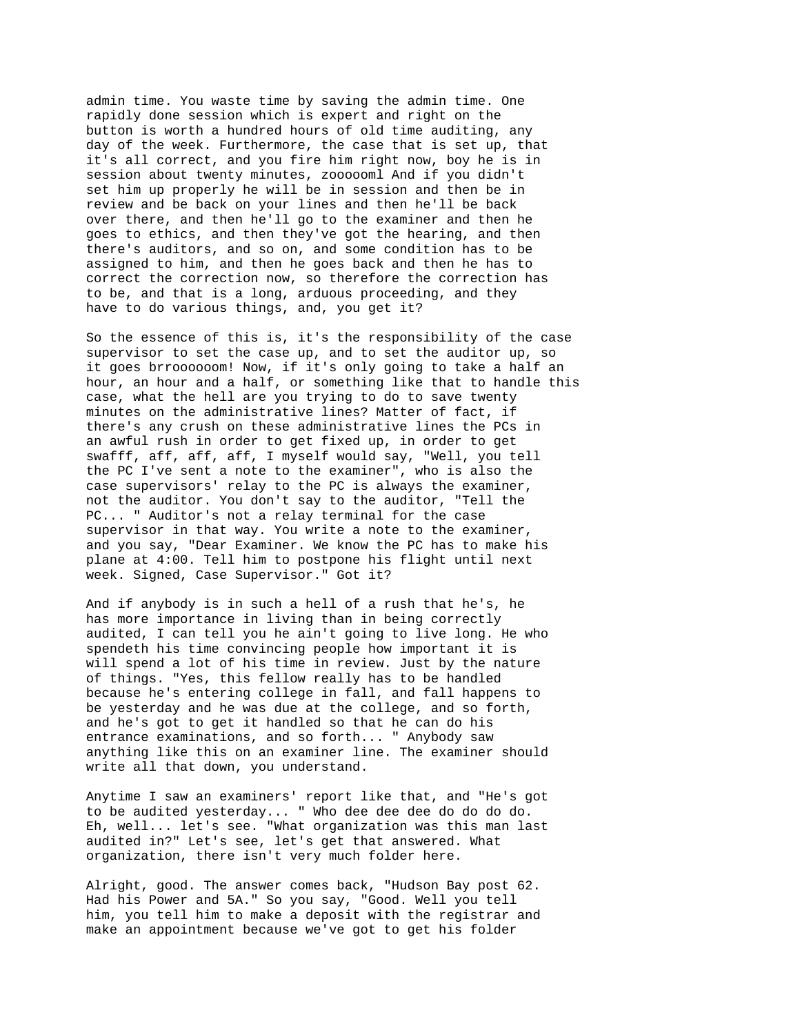admin time. You waste time by saving the admin time. One rapidly done session which is expert and right on the button is worth a hundred hours of old time auditing, any day of the week. Furthermore, the case that is set up, that it's all correct, and you fire him right now, boy he is in session about twenty minutes, zoooooml And if you didn't set him up properly he will be in session and then be in review and be back on your lines and then he'll be back over there, and then he'll go to the examiner and then he goes to ethics, and then they've got the hearing, and then there's auditors, and so on, and some condition has to be assigned to him, and then he goes back and then he has to correct the correction now, so therefore the correction has to be, and that is a long, arduous proceeding, and they have to do various things, and, you get it?

So the essence of this is, it's the responsibility of the case supervisor to set the case up, and to set the auditor up, so it goes brroooooom! Now, if it's only going to take a half an hour, an hour and a half, or something like that to handle this case, what the hell are you trying to do to save twenty minutes on the administrative lines? Matter of fact, if there's any crush on these administrative lines the PCs in an awful rush in order to get fixed up, in order to get swafff, aff, aff, aff, I myself would say, "Well, you tell the PC I've sent a note to the examiner", who is also the case supervisors' relay to the PC is always the examiner, not the auditor. You don't say to the auditor, "Tell the PC... " Auditor's not a relay terminal for the case supervisor in that way. You write a note to the examiner, and you say, "Dear Examiner. We know the PC has to make his plane at 4:00. Tell him to postpone his flight until next week. Signed, Case Supervisor." Got it?

And if anybody is in such a hell of a rush that he's, he has more importance in living than in being correctly audited, I can tell you he ain't going to live long. He who spendeth his time convincing people how important it is will spend a lot of his time in review. Just by the nature of things. "Yes, this fellow really has to be handled because he's entering college in fall, and fall happens to be yesterday and he was due at the college, and so forth, and he's got to get it handled so that he can do his entrance examinations, and so forth... " Anybody saw anything like this on an examiner line. The examiner should write all that down, you understand.

Anytime I saw an examiners' report like that, and "He's got to be audited yesterday... " Who dee dee dee do do do do. Eh, well... let's see. "What organization was this man last audited in?" Let's see, let's get that answered. What organization, there isn't very much folder here.

Alright, good. The answer comes back, "Hudson Bay post 62. Had his Power and 5A." So you say, "Good. Well you tell him, you tell him to make a deposit with the registrar and make an appointment because we've got to get his folder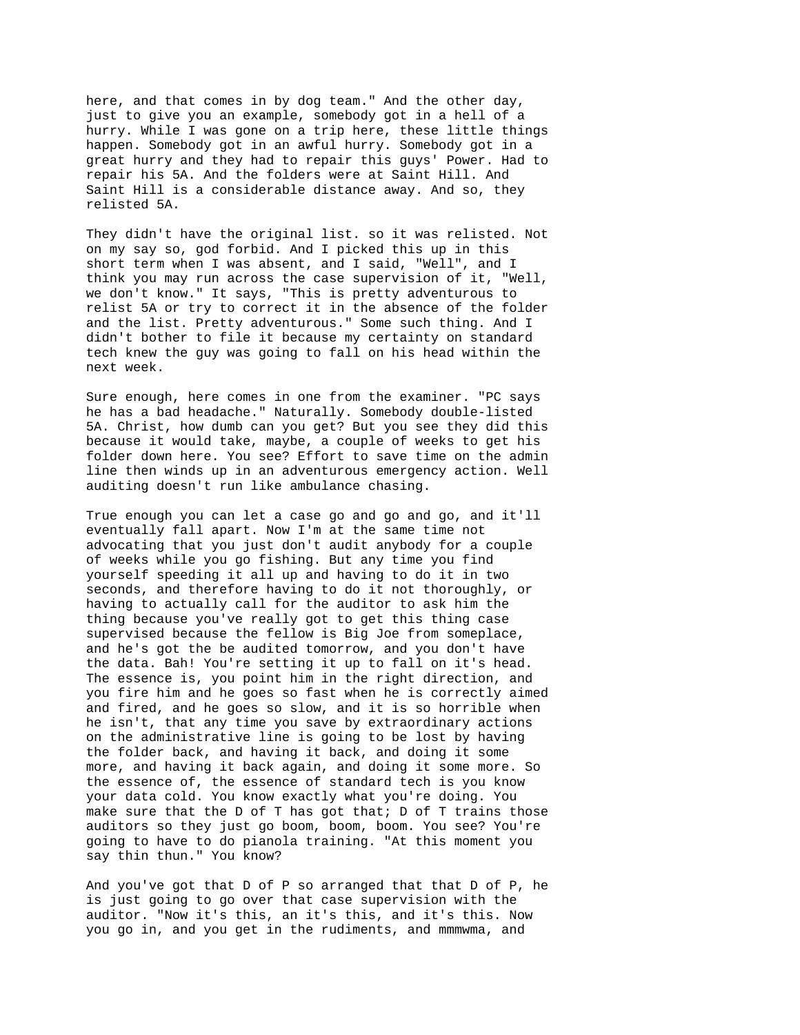here, and that comes in by dog team." And the other day, just to give you an example, somebody got in a hell of a hurry. While I was gone on a trip here, these little things happen. Somebody got in an awful hurry. Somebody got in a great hurry and they had to repair this guys' Power. Had to repair his 5A. And the folders were at Saint Hill. And Saint Hill is a considerable distance away. And so, they relisted 5A.

They didn't have the original list. so it was relisted. Not on my say so, god forbid. And I picked this up in this short term when I was absent, and I said, "Well", and I think you may run across the case supervision of it, "Well, we don't know." It says, "This is pretty adventurous to relist 5A or try to correct it in the absence of the folder and the list. Pretty adventurous." Some such thing. And I didn't bother to file it because my certainty on standard tech knew the guy was going to fall on his head within the next week.

Sure enough, here comes in one from the examiner. "PC says he has a bad headache." Naturally. Somebody double-listed 5A. Christ, how dumb can you get? But you see they did this because it would take, maybe, a couple of weeks to get his folder down here. You see? Effort to save time on the admin line then winds up in an adventurous emergency action. Well auditing doesn't run like ambulance chasing.

True enough you can let a case go and go and go, and it'll eventually fall apart. Now I'm at the same time not advocating that you just don't audit anybody for a couple of weeks while you go fishing. But any time you find yourself speeding it all up and having to do it in two seconds, and therefore having to do it not thoroughly, or having to actually call for the auditor to ask him the thing because you've really got to get this thing case supervised because the fellow is Big Joe from someplace, and he's got the be audited tomorrow, and you don't have the data. Bah! You're setting it up to fall on it's head. The essence is, you point him in the right direction, and you fire him and he goes so fast when he is correctly aimed and fired, and he goes so slow, and it is so horrible when he isn't, that any time you save by extraordinary actions on the administrative line is going to be lost by having the folder back, and having it back, and doing it some more, and having it back again, and doing it some more. So the essence of, the essence of standard tech is you know your data cold. You know exactly what you're doing. You make sure that the D of T has got that;  $D$  of T trains those auditors so they just go boom, boom, boom. You see? You're going to have to do pianola training. "At this moment you say thin thun." You know?

And you've got that D of P so arranged that that D of P, he is just going to go over that case supervision with the auditor. "Now it's this, an it's this, and it's this. Now you go in, and you get in the rudiments, and mmmwma, and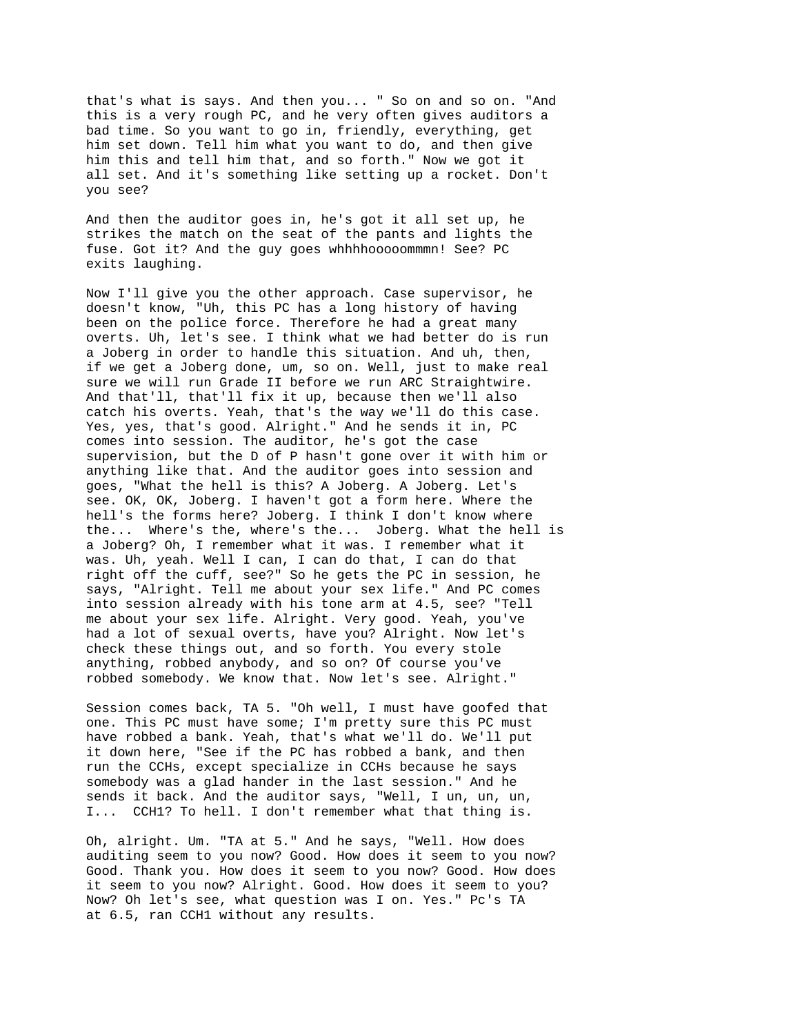that's what is says. And then you... " So on and so on. "And this is a very rough PC, and he very often gives auditors a bad time. So you want to go in, friendly, everything, get him set down. Tell him what you want to do, and then give him this and tell him that, and so forth." Now we got it all set. And it's something like setting up a rocket. Don't you see?

And then the auditor goes in, he's got it all set up, he strikes the match on the seat of the pants and lights the fuse. Got it? And the guy goes whhhhooooommmn! See? PC exits laughing.

Now I'll give you the other approach. Case supervisor, he doesn't know, "Uh, this PC has a long history of having been on the police force. Therefore he had a great many overts. Uh, let's see. I think what we had better do is run a Joberg in order to handle this situation. And uh, then, if we get a Joberg done, um, so on. Well, just to make real sure we will run Grade II before we run ARC Straightwire. And that'll, that'll fix it up, because then we'll also catch his overts. Yeah, that's the way we'll do this case. Yes, yes, that's good. Alright." And he sends it in, PC comes into session. The auditor, he's got the case supervision, but the D of P hasn't gone over it with him or anything like that. And the auditor goes into session and goes, "What the hell is this? A Joberg. A Joberg. Let's see. OK, OK, Joberg. I haven't got a form here. Where the hell's the forms here? Joberg. I think I don't know where the... Where's the, where's the... Joberg. What the hell is a Joberg? Oh, I remember what it was. I remember what it was. Uh, yeah. Well I can, I can do that, I can do that right off the cuff, see?" So he gets the PC in session, he says, "Alright. Tell me about your sex life." And PC comes into session already with his tone arm at 4.5, see? "Tell me about your sex life. Alright. Very good. Yeah, you've had a lot of sexual overts, have you? Alright. Now let's check these things out, and so forth. You every stole anything, robbed anybody, and so on? Of course you've robbed somebody. We know that. Now let's see. Alright."

Session comes back, TA 5. "Oh well, I must have goofed that one. This PC must have some; I'm pretty sure this PC must have robbed a bank. Yeah, that's what we'll do. We'll put it down here, "See if the PC has robbed a bank, and then run the CCHs, except specialize in CCHs because he says somebody was a glad hander in the last session." And he sends it back. And the auditor says, "Well, I un, un, un, I... CCH1? To hell. I don't remember what that thing is.

Oh, alright. Um. "TA at 5." And he says, "Well. How does auditing seem to you now? Good. How does it seem to you now? Good. Thank you. How does it seem to you now? Good. How does it seem to you now? Alright. Good. How does it seem to you? Now? Oh let's see, what question was I on. Yes." Pc's TA at 6.5, ran CCH1 without any results.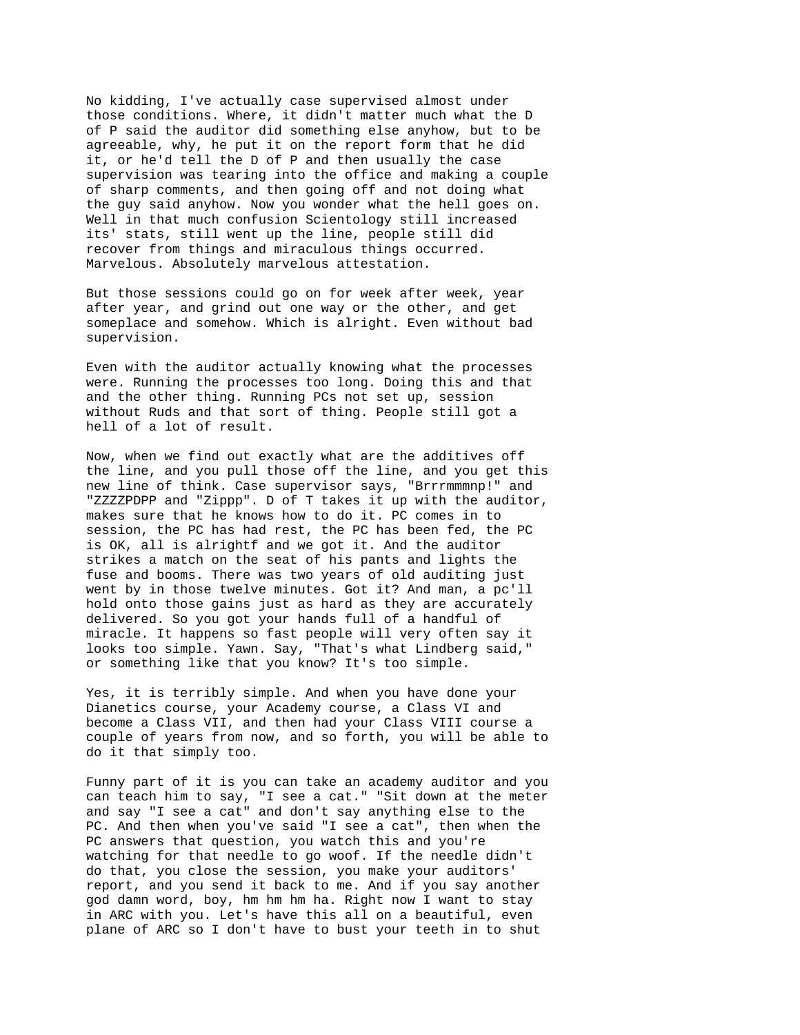No kidding, I've actually case supervised almost under those conditions. Where, it didn't matter much what the D of P said the auditor did something else anyhow, but to be agreeable, why, he put it on the report form that he did it, or he'd tell the D of P and then usually the case supervision was tearing into the office and making a couple of sharp comments, and then going off and not doing what the guy said anyhow. Now you wonder what the hell goes on. Well in that much confusion Scientology still increased its' stats, still went up the line, people still did recover from things and miraculous things occurred. Marvelous. Absolutely marvelous attestation.

But those sessions could go on for week after week, year after year, and grind out one way or the other, and get someplace and somehow. Which is alright. Even without bad supervision.

Even with the auditor actually knowing what the processes were. Running the processes too long. Doing this and that and the other thing. Running PCs not set up, session without Ruds and that sort of thing. People still got a hell of a lot of result.

Now, when we find out exactly what are the additives off the line, and you pull those off the line, and you get this new line of think. Case supervisor says, "Brrrmmmnp!" and "ZZZZPDPP and "Zippp". D of T takes it up with the auditor, makes sure that he knows how to do it. PC comes in to session, the PC has had rest, the PC has been fed, the PC is OK, all is alrightf and we got it. And the auditor strikes a match on the seat of his pants and lights the fuse and booms. There was two years of old auditing just went by in those twelve minutes. Got it? And man, a pc'll hold onto those gains just as hard as they are accurately delivered. So you got your hands full of a handful of miracle. It happens so fast people will very often say it looks too simple. Yawn. Say, "That's what Lindberg said," or something like that you know? It's too simple.

Yes, it is terribly simple. And when you have done your Dianetics course, your Academy course, a Class VI and become a Class VII, and then had your Class VIII course a couple of years from now, and so forth, you will be able to do it that simply too.

Funny part of it is you can take an academy auditor and you can teach him to say, "I see a cat." "Sit down at the meter and say "I see a cat" and don't say anything else to the PC. And then when you've said "I see a cat", then when the PC answers that question, you watch this and you're watching for that needle to go woof. If the needle didn't do that, you close the session, you make your auditors' report, and you send it back to me. And if you say another god damn word, boy, hm hm hm ha. Right now I want to stay in ARC with you. Let's have this all on a beautiful, even plane of ARC so I don't have to bust your teeth in to shut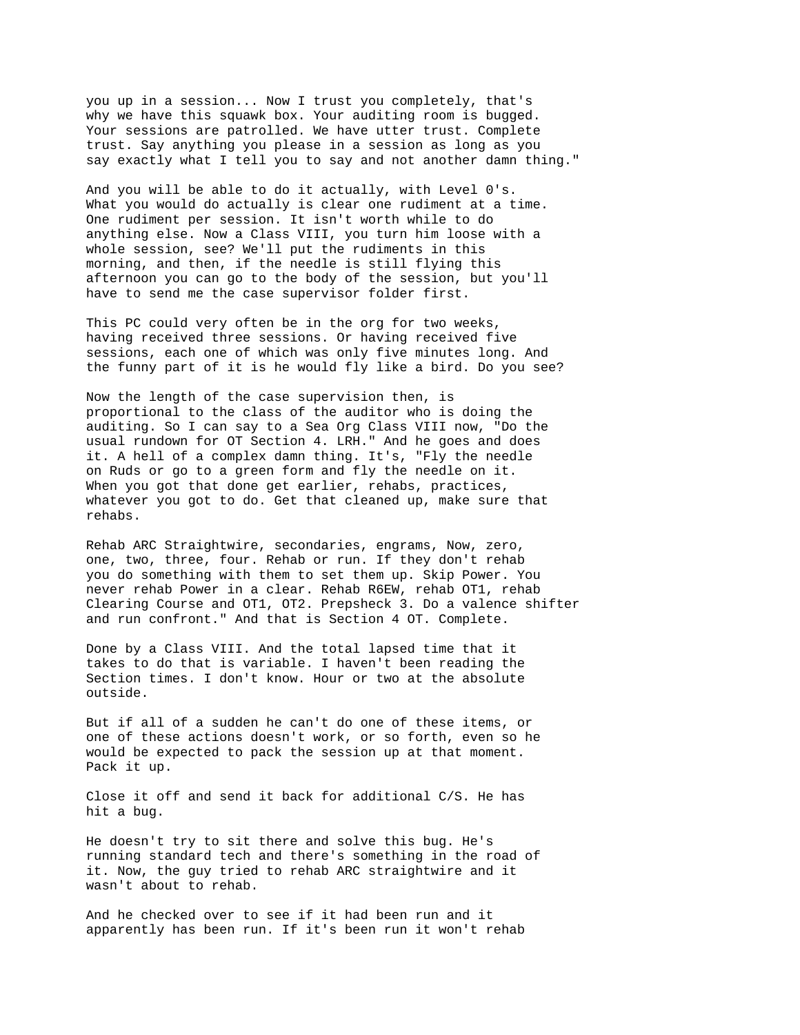you up in a session... Now I trust you completely, that's why we have this squawk box. Your auditing room is bugged. Your sessions are patrolled. We have utter trust. Complete trust. Say anything you please in a session as long as you say exactly what I tell you to say and not another damn thing."

And you will be able to do it actually, with Level 0's. What you would do actually is clear one rudiment at a time. One rudiment per session. It isn't worth while to do anything else. Now a Class VIII, you turn him loose with a whole session, see? We'll put the rudiments in this morning, and then, if the needle is still flying this afternoon you can go to the body of the session, but you'll have to send me the case supervisor folder first.

This PC could very often be in the org for two weeks, having received three sessions. Or having received five sessions, each one of which was only five minutes long. And the funny part of it is he would fly like a bird. Do you see?

Now the length of the case supervision then, is proportional to the class of the auditor who is doing the auditing. So I can say to a Sea Org Class VIII now, "Do the usual rundown for OT Section 4. LRH." And he goes and does it. A hell of a complex damn thing. It's, "Fly the needle on Ruds or go to a green form and fly the needle on it. When you got that done get earlier, rehabs, practices, whatever you got to do. Get that cleaned up, make sure that rehabs.

Rehab ARC Straightwire, secondaries, engrams, Now, zero, one, two, three, four. Rehab or run. If they don't rehab you do something with them to set them up. Skip Power. You never rehab Power in a clear. Rehab R6EW, rehab OT1, rehab Clearing Course and OT1, OT2. Prepsheck 3. Do a valence shifter and run confront." And that is Section 4 OT. Complete.

Done by a Class VIII. And the total lapsed time that it takes to do that is variable. I haven't been reading the Section times. I don't know. Hour or two at the absolute outside.

But if all of a sudden he can't do one of these items, or one of these actions doesn't work, or so forth, even so he would be expected to pack the session up at that moment. Pack it up.

Close it off and send it back for additional C/S. He has hit a bug.

He doesn't try to sit there and solve this bug. He's running standard tech and there's something in the road of it. Now, the guy tried to rehab ARC straightwire and it wasn't about to rehab.

And he checked over to see if it had been run and it apparently has been run. If it's been run it won't rehab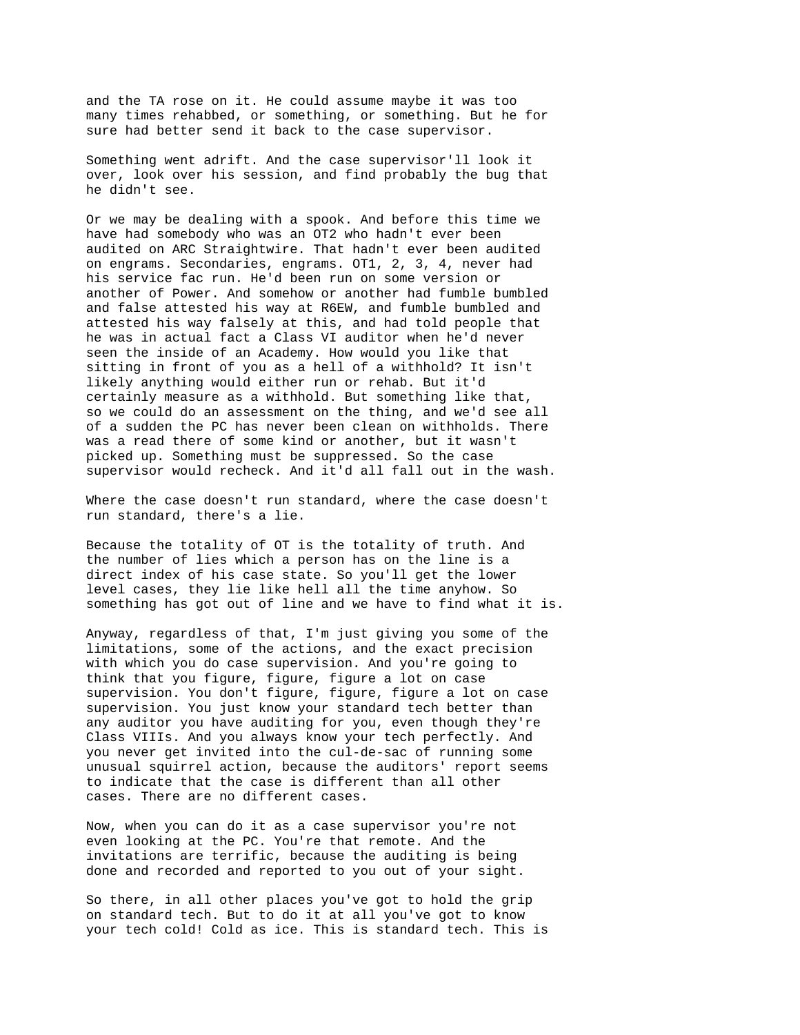and the TA rose on it. He could assume maybe it was too many times rehabbed, or something, or something. But he for sure had better send it back to the case supervisor.

Something went adrift. And the case supervisor'll look it over, look over his session, and find probably the bug that he didn't see.

Or we may be dealing with a spook. And before this time we have had somebody who was an OT2 who hadn't ever been audited on ARC Straightwire. That hadn't ever been audited on engrams. Secondaries, engrams. OT1, 2, 3, 4, never had his service fac run. He'd been run on some version or another of Power. And somehow or another had fumble bumbled and false attested his way at R6EW, and fumble bumbled and attested his way falsely at this, and had told people that he was in actual fact a Class VI auditor when he'd never seen the inside of an Academy. How would you like that sitting in front of you as a hell of a withhold? It isn't likely anything would either run or rehab. But it'd certainly measure as a withhold. But something like that, so we could do an assessment on the thing, and we'd see all of a sudden the PC has never been clean on withholds. There was a read there of some kind or another, but it wasn't picked up. Something must be suppressed. So the case supervisor would recheck. And it'd all fall out in the wash.

Where the case doesn't run standard, where the case doesn't run standard, there's a lie.

Because the totality of OT is the totality of truth. And the number of lies which a person has on the line is a direct index of his case state. So you'll get the lower level cases, they lie like hell all the time anyhow. So something has got out of line and we have to find what it is.

Anyway, regardless of that, I'm just giving you some of the limitations, some of the actions, and the exact precision with which you do case supervision. And you're going to think that you figure, figure, figure a lot on case supervision. You don't figure, figure, figure a lot on case supervision. You just know your standard tech better than any auditor you have auditing for you, even though they're Class VIIIs. And you always know your tech perfectly. And you never get invited into the cul-de-sac of running some unusual squirrel action, because the auditors' report seems to indicate that the case is different than all other cases. There are no different cases.

Now, when you can do it as a case supervisor you're not even looking at the PC. You're that remote. And the invitations are terrific, because the auditing is being done and recorded and reported to you out of your sight.

So there, in all other places you've got to hold the grip on standard tech. But to do it at all you've got to know your tech cold! Cold as ice. This is standard tech. This is